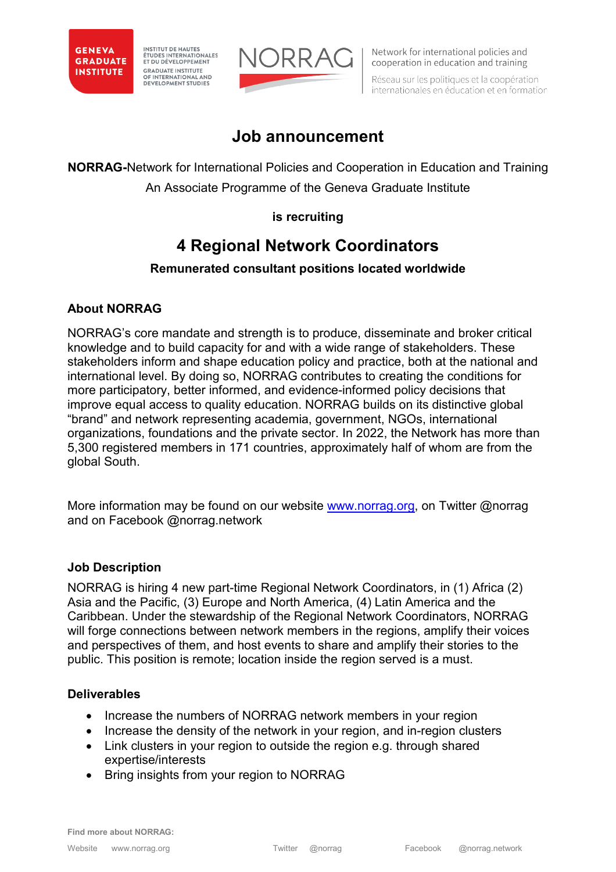

INSTITUT DE HAUTES<br>ÉTUDES INTERNATIONALES<br>ET DU DÉVELOPPEMENT **GRADUATE INSTITUTE** OF INTERNATIONAL AND DEVELOPMENT STUDIES



Network for international policies and cooperation in education and training

Réseau sur les politiques et la coopération internationales en éducation et en formation

# **Job announcement**

**NORRAG-**Network for International Policies and Cooperation in Education and Training

An Associate Programme of the Geneva Graduate Institute

## **is recruiting**

# **4 Regional Network Coordinators**

## **Remunerated consultant positions located worldwide**

# **About NORRAG**

NORRAG's core mandate and strength is to produce, disseminate and broker critical knowledge and to build capacity for and with a wide range of stakeholders. These stakeholders inform and shape education policy and practice, both at the national and international level. By doing so, NORRAG contributes to creating the conditions for more participatory, better informed, and evidence-informed policy decisions that improve equal access to quality education. NORRAG builds on its distinctive global "brand" and network representing academia, government, NGOs, international organizations, foundations and the private sector. In 2022, the Network has more than 5,300 registered members in 171 countries, approximately half of whom are from the global South.

More information may be found on our website [www.norrag.org,](http://www.norrag.org/) on Twitter @norrag and on Facebook @norrag.network

## **Job Description**

NORRAG is hiring 4 new part-time Regional Network Coordinators, in (1) Africa (2) Asia and the Pacific, (3) Europe and North America, (4) Latin America and the Caribbean. Under the stewardship of the Regional Network Coordinators, NORRAG will forge connections between network members in the regions, amplify their voices and perspectives of them, and host events to share and amplify their stories to the public. This position is remote; location inside the region served is a must.

## **Deliverables**

- Increase the numbers of NORRAG network members in your region
- Increase the density of the network in your region, and in-region clusters
- Link clusters in your region to outside the region e.g. through shared expertise/interests
- Bring insights from your region to NORRAG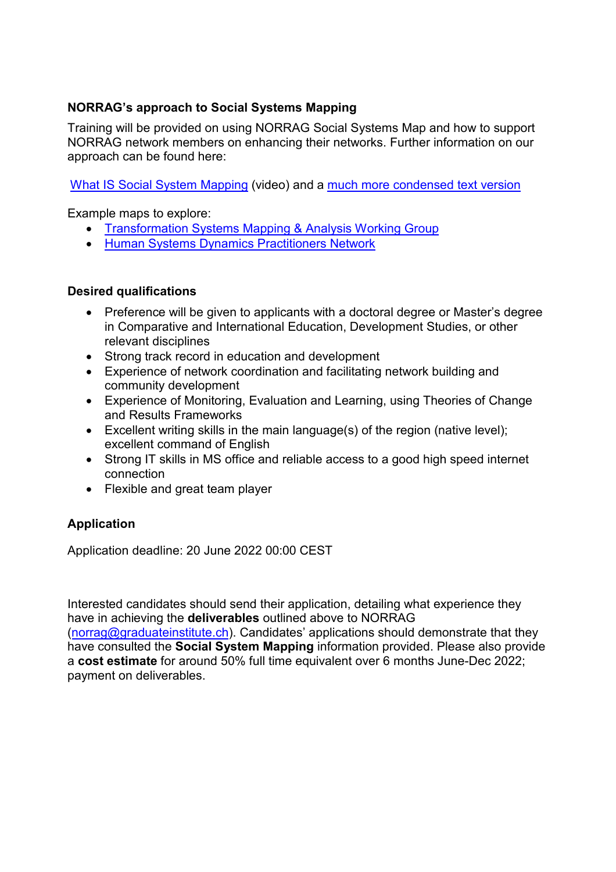#### **NORRAG's approach to Social Systems Mapping**

Training will be provided on using NORRAG Social Systems Map and how to support NORRAG network members on enhancing their networks. Further information on our approach can be found here:

[What IS Social System Mapping](https://youtu.be/H7UJhn6bENQ) (video) and a [much more condensed text version](https://greaterthanthesum.com/what-is-social-system-mapping/)

Example maps to explore:

- [Transformation Systems Mapping & Analysis Working Group](https://embed.kumu.io/67d5418d3b2a57f3fb5cb5c3c7f8fee3)
- [Human Systems Dynamics Practitioners Network](https://embed.kumu.io/a2d1d78a3251f86b9cbc8d0050128913)

#### **Desired qualifications**

- Preference will be given to applicants with a doctoral degree or Master's degree in Comparative and International Education, Development Studies, or other relevant disciplines
- Strong track record in education and development
- Experience of network coordination and facilitating network building and community development
- Experience of Monitoring, Evaluation and Learning, using Theories of Change and Results Frameworks
- Excellent writing skills in the main language(s) of the region (native level); excellent command of English
- Strong IT skills in MS office and reliable access to a good high speed internet connection
- Flexible and great team player

#### **Application**

Application deadline: 20 June 2022 00:00 CEST

Interested candidates should send their application, detailing what experience they have in achieving the **deliverables** outlined above to NORRAG [\(norrag@graduateinstitute.ch\).](mailto:norrag@graduateinstitute.ch) Candidates' applications should demonstrate that they have consulted the **Social System Mapping** information provided. Please also provide a **cost estimate** for around 50% full time equivalent over 6 months June-Dec 2022; payment on deliverables.